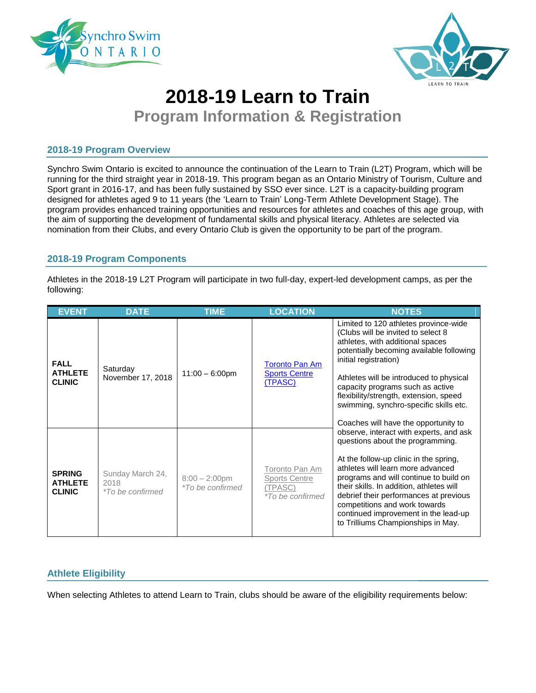



# **2018-19 Learn to Train**

**Program Information & Registration**

#### **2018-19 Program Overview**

Synchro Swim Ontario is excited to announce the continuation of the Learn to Train (L2T) Program, which will be running for the third straight year in 2018-19. This program began as an Ontario Ministry of Tourism, Culture and Sport grant in 2016-17, and has been fully sustained by SSO ever since. L2T is a capacity-building program designed for athletes aged 9 to 11 years (the 'Learn to Train' Long-Term Athlete Development Stage). The program provides enhanced training opportunities and resources for athletes and coaches of this age group, with the aim of supporting the development of fundamental skills and physical literacy. Athletes are selected via nomination from their Clubs, and every Ontario Club is given the opportunity to be part of the program.

### **2018-19 Program Components**

Athletes in the 2018-19 L2T Program will participate in two full-day, expert-led development camps, as per the following:

| <b>EVENT</b>                                     | <b>DATE</b>                                         | <b>TIME</b>                                 | <b>LOCATION</b>                                                              | <b>NOTES</b>                                                                                                                                                                                                                                                                                                                                                                                              |
|--------------------------------------------------|-----------------------------------------------------|---------------------------------------------|------------------------------------------------------------------------------|-----------------------------------------------------------------------------------------------------------------------------------------------------------------------------------------------------------------------------------------------------------------------------------------------------------------------------------------------------------------------------------------------------------|
| <b>FALL</b><br><b>ATHLETE</b><br><b>CLINIC</b>   | Saturday<br>November 17, 2018                       | $11:00 - 6:00$ pm                           | <b>Toronto Pan Am</b><br><b>Sports Centre</b><br><u>(TPASC)</u>              | Limited to 120 athletes province-wide<br>(Clubs will be invited to select 8<br>athletes, with additional spaces<br>potentially becoming available following<br>initial registration)<br>Athletes will be introduced to physical<br>capacity programs such as active<br>flexibility/strength, extension, speed<br>swimming, synchro-specific skills etc.<br>Coaches will have the opportunity to           |
| <b>SPRING</b><br><b>ATHLETE</b><br><b>CLINIC</b> | Sunday March 24,<br>2018<br><i>*To be confirmed</i> | $8:00 - 2:00$ pm<br><i>*To be confirmed</i> | Toronto Pan Am<br><b>Sports Centre</b><br>(TPASC)<br><i>*To be confirmed</i> | observe, interact with experts, and ask<br>questions about the programming.<br>At the follow-up clinic in the spring,<br>athletes will learn more advanced<br>programs and will continue to build on<br>their skills. In addition, athletes will<br>debrief their performances at previous<br>competitions and work towards<br>continued improvement in the lead-up<br>to Trilliums Championships in May. |

## **Athlete Eligibility**

When selecting Athletes to attend Learn to Train, clubs should be aware of the eligibility requirements below: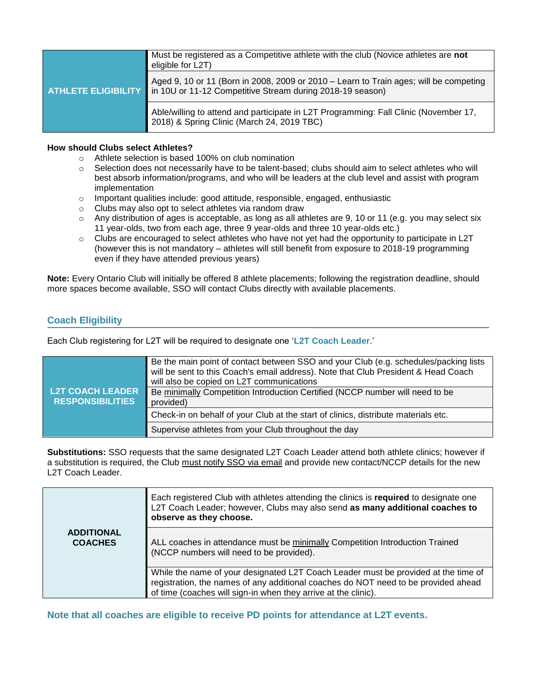| Must be registered as a Competitive athlete with the club (Novice athletes are not<br>eligible for L2T)                                                                       |
|-------------------------------------------------------------------------------------------------------------------------------------------------------------------------------|
| Aged 9, 10 or 11 (Born in 2008, 2009 or 2010 – Learn to Train ages; will be competing<br><b>ATHLETE ELIGIBILITY</b> in 10U or 11-12 Competitive Stream during 2018-19 season) |
| Able/willing to attend and participate in L2T Programming: Fall Clinic (November 17,<br>2018) & Spring Clinic (March 24, 2019 TBC)                                            |

#### **How should Clubs select Athletes?**

- o Athlete selection is based 100% on club nomination
- $\circ$  Selection does not necessarily have to be talent-based; clubs should aim to select athletes who will best absorb information/programs, and who will be leaders at the club level and assist with program implementation
- $\circ$  Important qualities include: good attitude, responsible, engaged, enthusiastic
- o Clubs may also opt to select athletes via random draw
- $\circ$  Any distribution of ages is acceptable, as long as all athletes are 9, 10 or 11 (e.g. you may select six 11 year-olds, two from each age, three 9 year-olds and three 10 year-olds etc.)
- $\circ$  Clubs are encouraged to select athletes who have not yet had the opportunity to participate in L2T (however this is not mandatory – athletes will still benefit from exposure to 2018-19 programming even if they have attended previous years)

**Note:** Every Ontario Club will initially be offered 8 athlete placements; following the registration deadline, should more spaces become available, SSO will contact Clubs directly with available placements.

### **Coach Eligibility**

Each Club registering for L2T will be required to designate one '**L2T Coach Leader**.'

| <b>L2T COACH LEADER</b><br><b>RESPONSIBILITIES</b> | Be the main point of contact between SSO and your Club (e.g. schedules/packing lists<br>will be sent to this Coach's email address). Note that Club President & Head Coach<br>will also be copied on L2T communications<br>Be minimally Competition Introduction Certified (NCCP number will need to be<br>provided) |
|----------------------------------------------------|----------------------------------------------------------------------------------------------------------------------------------------------------------------------------------------------------------------------------------------------------------------------------------------------------------------------|
|                                                    | Check-in on behalf of your Club at the start of clinics, distribute materials etc.                                                                                                                                                                                                                                   |
|                                                    | Supervise athletes from your Club throughout the day                                                                                                                                                                                                                                                                 |

**Substitutions:** SSO requests that the same designated L2T Coach Leader attend both athlete clinics; however if a substitution is required, the Club must notify SSO via email and provide new contact/NCCP details for the new L2T Coach Leader.

|                                     | Each registered Club with athletes attending the clinics is required to designate one<br>L2T Coach Leader; however, Clubs may also send as many additional coaches to<br>observe as they choose.                                           |
|-------------------------------------|--------------------------------------------------------------------------------------------------------------------------------------------------------------------------------------------------------------------------------------------|
| <b>ADDITIONAL</b><br><b>COACHES</b> | ALL coaches in attendance must be minimally Competition Introduction Trained<br>(NCCP numbers will need to be provided).                                                                                                                   |
|                                     | While the name of your designated L2T Coach Leader must be provided at the time of<br>registration, the names of any additional coaches do NOT need to be provided ahead<br>of time (coaches will sign-in when they arrive at the clinic). |

**Note that all coaches are eligible to receive PD points for attendance at L2T events.**